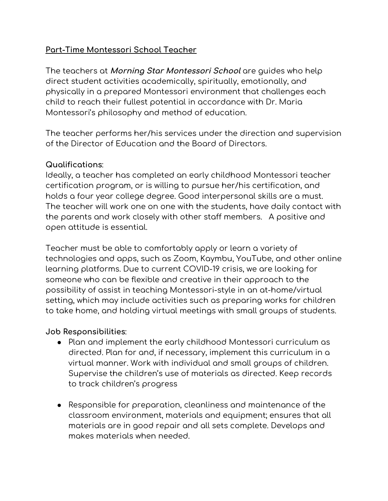## **Part-Time Montessori School Teacher**

The teachers at **Morning Star Montessori School** are guides who help direct student activities academically, spiritually, emotionally, and physically in a prepared Montessori environment that challenges each child to reach their fullest potential in accordance with Dr. Maria Montessori's philosophy and method of education.

The teacher performs her/his services under the direction and supervision of the Director of Education and the Board of Directors.

## **Qualifications**:

Ideally, a teacher has completed an early childhood Montessori teacher certification program, or is willing to pursue her/his certification, and holds a four year college degree. Good interpersonal skills are a must. The teacher will work one on one with the students, have daily contact with the parents and work closely with other staff members. A positive and open attitude is essential.

Teacher must be able to comfortably apply or learn a variety of technologies and apps, such as Zoom, Kaymbu, YouTube, and other online learning platforms. Due to current COVID-19 crisis, we are looking for someone who can be flexible and creative in their approach to the possibility of assist in teaching Montessori-style in an at-home/virtual setting, which may include activities such as preparing works for children to take home, and holding virtual meetings with small groups of students.

## **Job Responsibilities**:

- Plan and implement the early childhood Montessori curriculum as directed. Plan for and, if necessary, implement this curriculum in a virtual manner. Work with individual and small groups of children. Supervise the children's use of materials as directed. Keep records to track children's progress
- Responsible for preparation, cleanliness and maintenance of the classroom environment, materials and equipment; ensures that all materials are in good repair and all sets complete. Develops and makes materials when needed.